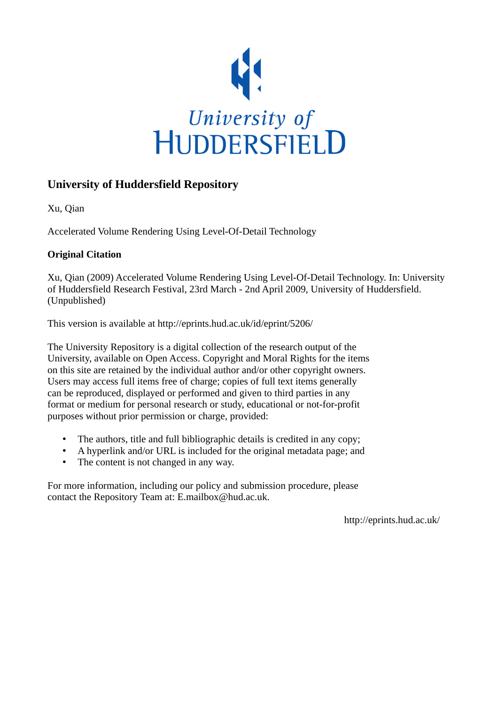

## **University of Huddersfield Repository**

Xu, Qian

Accelerated Volume Rendering Using Level-Of-Detail Technology

### **Original Citation**

Xu, Qian (2009) Accelerated Volume Rendering Using Level-Of-Detail Technology. In: University of Huddersfield Research Festival, 23rd March - 2nd April 2009, University of Huddersfield. (Unpublished)

This version is available at http://eprints.hud.ac.uk/id/eprint/5206/

The University Repository is a digital collection of the research output of the University, available on Open Access. Copyright and Moral Rights for the items on this site are retained by the individual author and/or other copyright owners. Users may access full items free of charge; copies of full text items generally can be reproduced, displayed or performed and given to third parties in any format or medium for personal research or study, educational or not-for-profit purposes without prior permission or charge, provided:

- The authors, title and full bibliographic details is credited in any copy;
- A hyperlink and/or URL is included for the original metadata page; and
- The content is not changed in any way.

For more information, including our policy and submission procedure, please contact the Repository Team at: E.mailbox@hud.ac.uk.

http://eprints.hud.ac.uk/